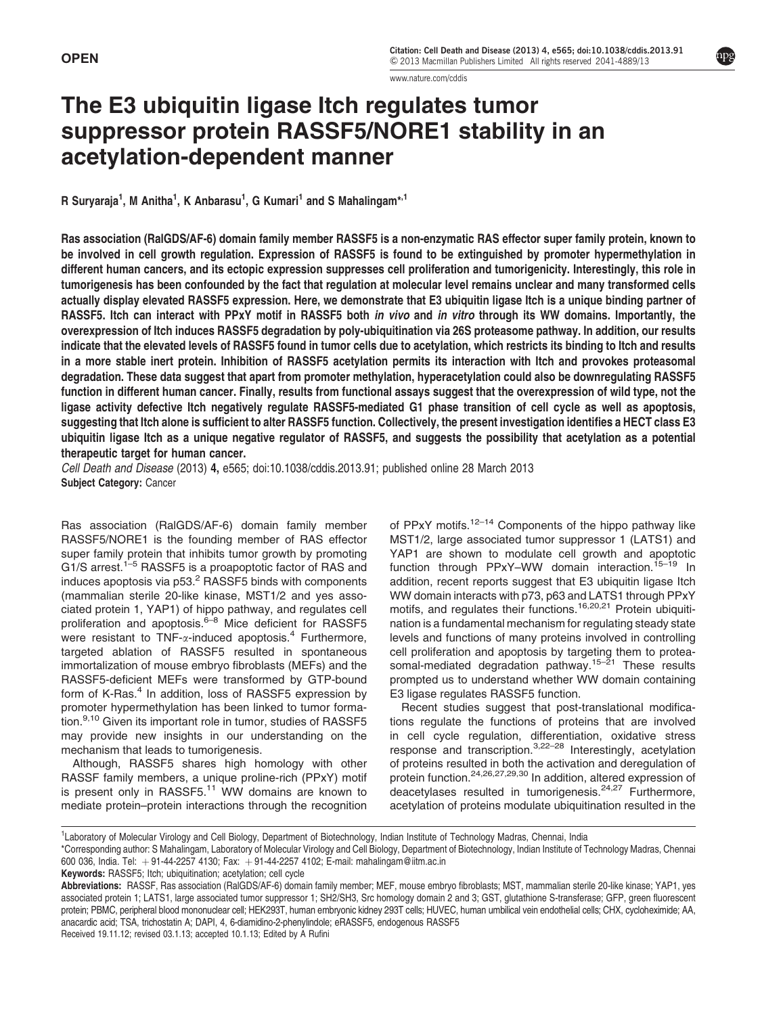[www.nature.com/cddis](http://www.nature.com/cddis)

# The E3 ubiquitin ligase Itch regulates tumor suppressor protein RASSF5/NORE1 stability in an acetylation-dependent manner

R Suryaraja<sup>1</sup>, M Anitha<sup>1</sup>, K Anbarasu<sup>1</sup>, G Kumari<sup>1</sup> and S Mahalingam<sup>\*,1</sup>

Ras association (RalGDS/AF-6) domain family member RASSF5 is a non-enzymatic RAS effector super family protein, known to be involved in cell growth regulation. Expression of RASSF5 is found to be extinguished by promoter hypermethylation in different human cancers, and its ectopic expression suppresses cell proliferation and tumorigenicity. Interestingly, this role in tumorigenesis has been confounded by the fact that regulation at molecular level remains unclear and many transformed cells actually display elevated RASSF5 expression. Here, we demonstrate that E3 ubiquitin ligase Itch is a unique binding partner of RASSF5. Itch can interact with PPxY motif in RASSF5 both in vivo and in vitro through its WW domains. Importantly, the overexpression of Itch induces RASSF5 degradation by poly-ubiquitination via 26S proteasome pathway. In addition, our results indicate that the elevated levels of RASSF5 found in tumor cells due to acetylation, which restricts its binding to Itch and results in a more stable inert protein. Inhibition of RASSF5 acetylation permits its interaction with Itch and provokes proteasomal degradation. These data suggest that apart from promoter methylation, hyperacetylation could also be downregulating RASSF5 function in different human cancer. Finally, results from functional assays suggest that the overexpression of wild type, not the ligase activity defective Itch negatively regulate RASSF5-mediated G1 phase transition of cell cycle as well as apoptosis, suggesting that Itch alone is sufficient to alter RASSF5 function. Collectively, the present investigation identifies a HECT class E3 ubiquitin ligase Itch as a unique negative regulator of RASSF5, and suggests the possibility that acetylation as a potential therapeutic target for human cancer.

Cell Death and Disease (2013) 4, e565; doi:[10.1038/cddis.2013.91;](http://dx.doi.org/10.1038/cddis.2013.91) published online 28 March 2013 Subject Category: Cancer

Ras association (RalGDS/AF-6) domain family member RASSF5/NORE1 is the founding member of RAS effector super family protein that inhibits tumor growth by promoting G1/S arrest.<sup>[1–5](#page-8-0)</sup> RASSF5 is a proapoptotic factor of RAS and induces apoptosis via p53.<sup>[2](#page-8-0)</sup> RASSF5 binds with components (mammalian sterile 20-like kinase, MST1/2 and yes associated protein 1, YAP1) of hippo pathway, and regulates cell proliferation and apoptosis.<sup>[6–8](#page-8-0)</sup> Mice deficient for RASSF5 were resistant to TNF- $\alpha$ -induced apoptosis.<sup>[4](#page-8-0)</sup> Furthermore, targeted ablation of RASSF5 resulted in spontaneous immortalization of mouse embryo fibroblasts (MEFs) and the RASSF5-deficient MEFs were transformed by GTP-bound form of K-Ras.<sup>4</sup> In addition, loss of RASSF5 expression by promoter hypermethylation has been linked to tumor forma-tion.<sup>[9,10](#page-8-0)</sup> Given its important role in tumor, studies of RASSF5 may provide new insights in our understanding on the mechanism that leads to tumorigenesis.

Although, RASSF5 shares high homology with other RASSF family members, a unique proline-rich (PPxY) motif is present only in RASSF5.<sup>[11](#page-8-0)</sup> WW domains are known to mediate protein–protein interactions through the recognition of PPxY motifs. $12-14$  Components of the hippo pathway like MST1/2, large associated tumor suppressor 1 (LATS1) and YAP1 are shown to modulate cell growth and apoptotic function through PPxY–WW domain interaction.<sup>[15–19](#page-8-0)</sup> In addition, recent reports suggest that E3 ubiquitin ligase Itch WW domain interacts with p73, p63 and LATS1 through PPxY motifs, and regulates their functions.<sup>[16,20,21](#page-8-0)</sup> Protein ubiquitination is a fundamental mechanism for regulating steady state levels and functions of many proteins involved in controlling cell proliferation and apoptosis by targeting them to protea-somal-mediated degradation pathway.<sup>[15–21](#page-8-0)</sup> These results prompted us to understand whether WW domain containing E3 ligase regulates RASSF5 function.

Recent studies suggest that post-translational modifications regulate the functions of proteins that are involved in cell cycle regulation, differentiation, oxidative stress response and transcription.[3,22–28](#page-8-0) Interestingly, acetylation of proteins resulted in both the activation and deregulation of protein function[.24,26,27,29,30](#page-8-0) In addition, altered expression of deacetylases resulted in tumorigenesis.<sup>[24,27](#page-8-0)</sup> Furthermore, acetylation of proteins modulate ubiquitination resulted in the

Keywords: RASSF5; Itch; ubiquitination; acetylation; cell cycle

Received 19.11.12; revised 03.1.13; accepted 10.1.13; Edited by A Rufini

<sup>1</sup> Laboratory of Molecular Virology and Cell Biology, Department of Biotechnology, Indian Institute of Technology Madras, Chennai, India

<sup>\*</sup>Corresponding author: S Mahalingam, Laboratory of Molecular Virology and Cell Biology, Department of Biotechnology, Indian Institute of Technology Madras, Chennai 600 036, India. Tel:  $+91-44-2257$  4130; Fax:  $+91-44-2257$  4102; E-mail: [mahalingam@iitm.ac.in](mailto:mahalingam@iitm.ac.in)

Abbreviations: RASSF, Ras association (RalGDS/AF-6) domain family member; MEF, mouse embryo fibroblasts; MST, mammalian sterile 20-like kinase; YAP1, yes associated protein 1; LATS1, large associated tumor suppressor 1; SH2/SH3, Src homology domain 2 and 3; GST, glutathione S-transferase; GFP, green fluorescent protein; PBMC, peripheral blood mononuclear cell; HEK293T, human embryonic kidney 293T cells; HUVEC, human umbilical vein endothelial cells; CHX, cycloheximide; AA, anacardic acid; TSA, trichostatin A; DAPI, 4, 6-diamidino-2-phenylindole; eRASSF5, endogenous RASSF5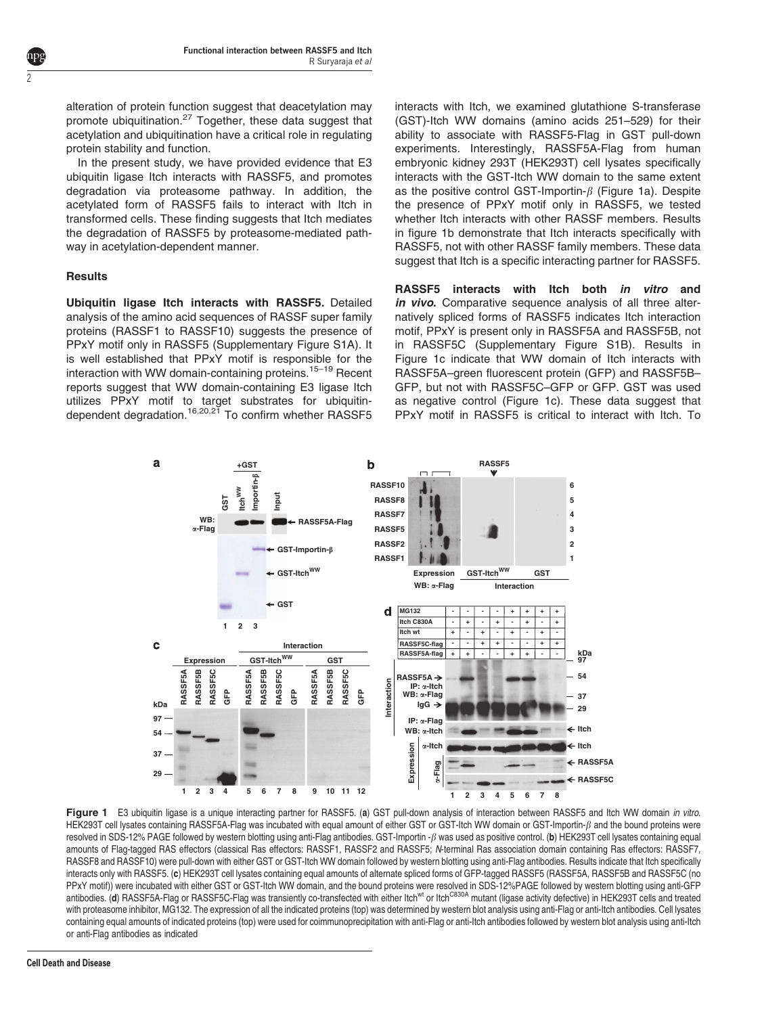alteration of protein function suggest that deacetylation may promote ubiquitination.<sup>[27](#page-8-0)</sup> Together, these data suggest that acetylation and ubiquitination have a critical role in regulating protein stability and function.

In the present study, we have provided evidence that E3 ubiquitin ligase Itch interacts with RASSF5, and promotes degradation via proteasome pathway. In addition, the acetylated form of RASSF5 fails to interact with Itch in transformed cells. These finding suggests that Itch mediates the degradation of RASSF5 by proteasome-mediated pathway in acetylation-dependent manner.

### Results

<span id="page-1-0"></span>2

Ubiquitin ligase Itch interacts with RASSF5. Detailed analysis of the amino acid sequences of RASSF super family proteins (RASSF1 to RASSF10) suggests the presence of PPxY motif only in RASSF5 (Supplementary Figure S1A). It is well established that PPxY motif is responsible for the interaction with WW domain-containing proteins.<sup>[15–19](#page-8-0)</sup> Recent reports suggest that WW domain-containing E3 ligase Itch utilizes PPxY motif to target substrates for ubiquitin-dependent degradation.<sup>[16,20,21](#page-8-0)</sup> To confirm whether RASSF5 interacts with Itch, we examined glutathione S-transferase (GST)-Itch WW domains (amino acids 251–529) for their ability to associate with RASSF5-Flag in GST pull-down experiments. Interestingly, RASSF5A-Flag from human embryonic kidney 293T (HEK293T) cell lysates specifically interacts with the GST-Itch WW domain to the same extent as the positive control GST-Importin- $\beta$  (Figure 1a). Despite the presence of PPxY motif only in RASSF5, we tested whether Itch interacts with other RASSF members. Results in figure 1b demonstrate that Itch interacts specifically with RASSF5, not with other RASSF family members. These data suggest that Itch is a specific interacting partner for RASSF5.

RASSF5 interacts with Itch both in vitro and in vivo. Comparative sequence analysis of all three alternatively spliced forms of RASSF5 indicates Itch interaction motif, PPxY is present only in RASSF5A and RASSF5B, not in RASSF5C (Supplementary Figure S1B). Results in Figure 1c indicate that WW domain of Itch interacts with RASSF5A–green fluorescent protein (GFP) and RASSF5B– GFP, but not with RASSF5C–GFP or GFP. GST was used as negative control (Figure 1c). These data suggest that PPxY motif in RASSF5 is critical to interact with Itch. To



Figure 1 E3 ubiquitin ligase is a unique interacting partner for RASSF5. (a) GST pull-down analysis of interaction between RASSF5 and Itch WW domain in vitro. HEK293T cell lysates containing RASSF5A-Flag was incubated with equal amount of either GST or GST-Itch WW domain or GST-Importin- $\beta$  and the bound proteins were resolved in SDS-12% PAGE followed by western blotting using anti-Flag antibodies. GST-Importin  $-\beta$  was used as positive control. (b) HEK293T cell lysates containing equal amounts of Flag-tagged RAS effectors (classical Ras effectors: RASSF1, RASSF2 and RASSF5; N-terminal Ras association domain containing Ras effectors: RASSF7, RASSF8 and RASSF10) were pull-down with either GST or GST-Itch WW domain followed by western blotting using anti-Flag antibodies. Results indicate that Itch specifically interacts only with RASSF5. (c) HEK293T cell lysates containing equal amounts of alternate spliced forms of GFP-tagged RASSF5 (RASSF5A, RASSF5B and RASSF5C (no PPxY motif)) were incubated with either GST or GST-Itch WW domain, and the bound proteins were resolved in SDS-12%PAGE followed by western blotting using anti-GFP antibodies. (d) RASSF5A-Flag or RASSF5C-Flag was transiently co-transfected with either Itch<sup>wt</sup> or Itch<sup>ca30A</sup> mutant (ligase activity defective) in HEK293T cells and treated with proteasome inhibitor, MG132. The expression of all the indicated proteins (top) was determined by western blot analysis using anti-Flag or anti-Itch antibodies. Cell lysates containing equal amounts of indicated proteins (top) were used for coimmunoprecipitation with anti-Flag or anti-Itch antibodies followed by western blot analysis using anti-Itch or anti-Flag antibodies as indicated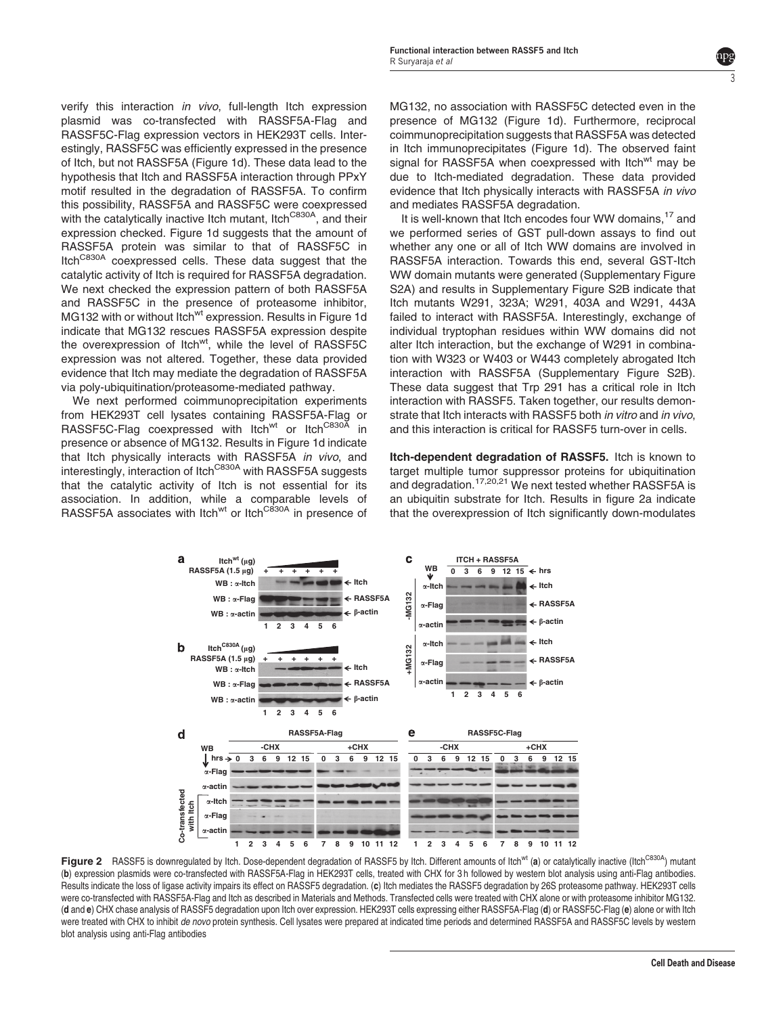<span id="page-2-0"></span>verify this interaction in vivo, full-length Itch expression plasmid was co-transfected with RASSF5A-Flag and RASSF5C-Flag expression vectors in HEK293T cells. Interestingly, RASSF5C was efficiently expressed in the presence of Itch, but not RASSF5A ([Figure 1d\)](#page-1-0). These data lead to the hypothesis that Itch and RASSF5A interaction through PPxY motif resulted in the degradation of RASSF5A. To confirm this possibility, RASSF5A and RASSF5C were coexpressed with the catalytically inactive Itch mutant, Itch<sup>C830A</sup>, and their expression checked. [Figure 1d](#page-1-0) suggests that the amount of RASSF5A protein was similar to that of RASSF5C in Itch<sup>C830A</sup> coexpressed cells. These data suggest that the catalytic activity of Itch is required for RASSF5A degradation. We next checked the expression pattern of both RASSF5A and RASSF5C in the presence of proteasome inhibitor, MG132 with or without Itch<sup>wt</sup> expression. Results in [Figure 1d](#page-1-0) indicate that MG132 rescues RASSF5A expression despite the overexpression of Itch<sup>wt</sup>, while the level of RASSF5C expression was not altered. Together, these data provided evidence that Itch may mediate the degradation of RASSF5A via poly-ubiquitination/proteasome-mediated pathway.

We next performed coimmunoprecipitation experiments from HEK293T cell lysates containing RASSF5A-Flag or RASSF5C-Flag coexpressed with Itch<sup>wt</sup> or Itch<sup>C830A</sup> in presence or absence of MG132. Results in [Figure 1d](#page-1-0) indicate that Itch physically interacts with RASSF5A in vivo. and interestingly, interaction of Itch<sup>C830A</sup> with RASSF5A suggests that the catalytic activity of Itch is not essential for its association. In addition, while a comparable levels of RASSF5A associates with Itch<sup>wt</sup> or Itch<sup>C830A</sup> in presence of

MG132, no association with RASSF5C detected even in the presence of MG132 [\(Figure 1d\)](#page-1-0). Furthermore, reciprocal coimmunoprecipitation suggests that RASSF5A was detected in Itch immunoprecipitates [\(Figure 1d\)](#page-1-0). The observed faint signal for RASSF5A when coexpressed with Itch<sup>wt</sup> may be due to Itch-mediated degradation. These data provided evidence that Itch physically interacts with RASSF5A in vivo and mediates RASSF5A degradation.

3

It is well-known that Itch encodes four WW domains,<sup>[17](#page-8-0)</sup> and we performed series of GST pull-down assays to find out whether any one or all of Itch WW domains are involved in RASSF5A interaction. Towards this end, several GST-Itch WW domain mutants were generated (Supplementary Figure S2A) and results in Supplementary Figure S2B indicate that Itch mutants W291, 323A; W291, 403A and W291, 443A failed to interact with RASSF5A. Interestingly, exchange of individual tryptophan residues within WW domains did not alter Itch interaction, but the exchange of W291 in combination with W323 or W403 or W443 completely abrogated Itch interaction with RASSF5A (Supplementary Figure S2B). These data suggest that Trp 291 has a critical role in Itch interaction with RASSF5. Taken together, our results demonstrate that Itch interacts with RASSF5 both in vitro and in vivo, and this interaction is critical for RASSF5 turn-over in cells.

Itch-dependent degradation of RASSF5. Itch is known to target multiple tumor suppressor proteins for ubiquitination and degradation[.17,20,21](#page-8-0) We next tested whether RASSF5A is an ubiquitin substrate for Itch. Results in figure 2a indicate that the overexpression of Itch significantly down-modulates



Figure 2 RASSF5 is downregulated by Itch. Dose-dependent degradation of RASSF5 by Itch. Different amounts of Itch<sup>wt</sup> (a) or catalytically inactive (Itch<sup>C830A</sup>) mutant (b) expression plasmids were co-transfected with RASSF5A-Flag in HEK293T cells, treated with CHX for 3 h followed by western blot analysis using anti-Flag antibodies. Results indicate the loss of ligase activity impairs its effect on RASSF5 degradation. (c) Itch mediates the RASSF5 degradation by 26S proteasome pathway. HEK293T cells were co-transfected with RASSF5A-Flag and Itch as described in Materials and Methods. Transfected cells were treated with CHX alone or with proteasome inhibitor MG132. (d and e) CHX chase analysis of RASSF5 degradation upon Itch over expression. HEK293T cells expressing either RASSF5A-Flag (d) or RASSF5C-Flag (e) alone or with Itch were treated with CHX to inhibit de novo protein synthesis. Cell lysates were prepared at indicated time periods and determined RASSF5A and RASSF5C levels by western blot analysis using anti-Flag antibodies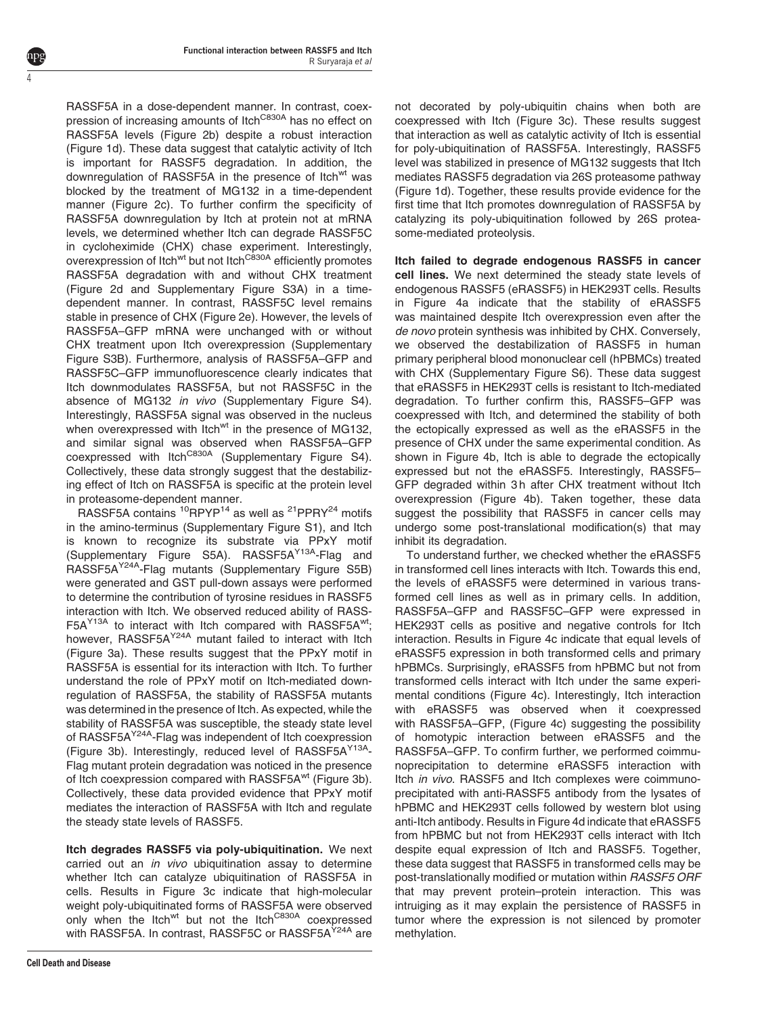RASSF5A in a dose-dependent manner. In contrast, coexpression of increasing amounts of Itch<sup>C830A</sup> has no effect on RASSF5A levels [\(Figure 2b](#page-2-0)) despite a robust interaction ([Figure 1d\)](#page-1-0). These data suggest that catalytic activity of Itch is important for RASSF5 degradation. In addition, the downregulation of RASSF5A in the presence of Itch<sup>wt</sup> was blocked by the treatment of MG132 in a time-dependent manner [\(Figure 2c](#page-2-0)). To further confirm the specificity of RASSF5A downregulation by Itch at protein not at mRNA levels, we determined whether Itch can degrade RASSF5C in cycloheximide (CHX) chase experiment. Interestingly, overexpression of Itch<sup>wt</sup> but not Itch<sup>C830A</sup> efficiently promotes RASSF5A degradation with and without CHX treatment ([Figure 2d](#page-2-0) and Supplementary Figure S3A) in a timedependent manner. In contrast, RASSF5C level remains stable in presence of CHX [\(Figure 2e](#page-2-0)). However, the levels of RASSF5A–GFP mRNA were unchanged with or without CHX treatment upon Itch overexpression (Supplementary Figure S3B). Furthermore, analysis of RASSF5A–GFP and RASSF5C–GFP immunofluorescence clearly indicates that Itch downmodulates RASSF5A, but not RASSF5C in the absence of MG132 in vivo (Supplementary Figure S4). Interestingly, RASSF5A signal was observed in the nucleus when overexpressed with Itch $^{wt}$  in the presence of MG132, and similar signal was observed when RASSF5A–GFP coexpressed with Itch<sup>C830A</sup> (Supplementary Figure S4). Collectively, these data strongly suggest that the destabilizing effect of Itch on RASSF5A is specific at the protein level in proteasome-dependent manner.

RASSF5A contains <sup>10</sup>RPYP<sup>14</sup> as well as <sup>21</sup>PPRY<sup>24</sup> motifs in the amino-terminus (Supplementary Figure S1), and Itch is known to recognize its substrate via PPxY motif (Supplementary Figure S5A). RASSF5AY13A-Flag and RASSF5AY24A-Flag mutants (Supplementary Figure S5B) were generated and GST pull-down assays were performed to determine the contribution of tyrosine residues in RASSF5 interaction with Itch. We observed reduced ability of RASS-F5A<sup>Y13A</sup> to interact with Itch compared with RASSF5A<sup>wt</sup>; however, RASSF5A<sup>Y24A</sup> mutant failed to interact with Itch ([Figure 3a](#page-4-0)). These results suggest that the PPxY motif in RASSF5A is essential for its interaction with Itch. To further understand the role of PPxY motif on Itch-mediated downregulation of RASSF5A, the stability of RASSF5A mutants was determined in the presence of Itch. As expected, while the stability of RASSF5A was susceptible, the steady state level of RASSF5A<sup>Y24A</sup>-Flag was independent of Itch coexpression ([Figure 3b](#page-4-0)). Interestingly, reduced level of RASSF5A<sup>Y13A</sup>-Flag mutant protein degradation was noticed in the presence of Itch coexpression compared with RASSF5A<sup>wt</sup> ([Figure 3b](#page-4-0)). Collectively, these data provided evidence that PPxY motif mediates the interaction of RASSF5A with Itch and regulate the steady state levels of RASSF5.

Itch degrades RASSF5 via poly-ubiquitination. We next carried out an in vivo ubiquitination assay to determine whether Itch can catalyze ubiquitination of RASSF5A in cells. Results in [Figure 3c](#page-4-0) indicate that high-molecular weight poly-ubiquitinated forms of RASSF5A were observed only when the Itch<sup>wt</sup> but not the Itch<sup>C830A</sup> coexpressed with RASSF5A. In contrast, RASSF5C or RASSF5A<sup>Y24A</sup> are

4

not decorated by poly-ubiquitin chains when both are coexpressed with Itch ([Figure 3c](#page-4-0)). These results suggest that interaction as well as catalytic activity of Itch is essential for poly-ubiquitination of RASSF5A. Interestingly, RASSF5 level was stabilized in presence of MG132 suggests that Itch mediates RASSF5 degradation via 26S proteasome pathway ([Figure 1d\)](#page-1-0). Together, these results provide evidence for the first time that Itch promotes downregulation of RASSF5A by catalyzing its poly-ubiquitination followed by 26S proteasome-mediated proteolysis.

Itch failed to degrade endogenous RASSF5 in cancer cell lines. We next determined the steady state levels of endogenous RASSF5 (eRASSF5) in HEK293T cells. Results in [Figure 4a](#page-5-0) indicate that the stability of eRASSF5 was maintained despite Itch overexpression even after the de novo protein synthesis was inhibited by CHX. Conversely, we observed the destabilization of RASSF5 in human primary peripheral blood mononuclear cell (hPBMCs) treated with CHX (Supplementary Figure S6). These data suggest that eRASSF5 in HEK293T cells is resistant to Itch-mediated degradation. To further confirm this, RASSF5–GFP was coexpressed with Itch, and determined the stability of both the ectopically expressed as well as the eRASSF5 in the presence of CHX under the same experimental condition. As shown in [Figure 4b,](#page-5-0) Itch is able to degrade the ectopically expressed but not the eRASSF5. Interestingly, RASSF5– GFP degraded within 3 h after CHX treatment without Itch overexpression [\(Figure 4b](#page-5-0)). Taken together, these data suggest the possibility that RASSF5 in cancer cells may undergo some post-translational modification(s) that may inhibit its degradation.

To understand further, we checked whether the eRASSF5 in transformed cell lines interacts with Itch. Towards this end, the levels of eRASSF5 were determined in various transformed cell lines as well as in primary cells. In addition, RASSF5A–GFP and RASSF5C–GFP were expressed in HEK293T cells as positive and negative controls for Itch interaction. Results in [Figure 4c](#page-5-0) indicate that equal levels of eRASSF5 expression in both transformed cells and primary hPBMCs. Surprisingly, eRASSF5 from hPBMC but not from transformed cells interact with Itch under the same experimental conditions [\(Figure 4c\)](#page-5-0). Interestingly, Itch interaction with eRASSF5 was observed when it coexpressed with RASSF5A–GFP, ([Figure 4c\)](#page-5-0) suggesting the possibility of homotypic interaction between eRASSF5 and the RASSF5A–GFP. To confirm further, we performed coimmunoprecipitation to determine eRASSF5 interaction with Itch in vivo. RASSF5 and Itch complexes were coimmunoprecipitated with anti-RASSF5 antibody from the lysates of hPBMC and HEK293T cells followed by western blot using anti-Itch antibody. Results in [Figure 4d](#page-5-0) indicate that eRASSF5 from hPBMC but not from HEK293T cells interact with Itch despite equal expression of Itch and RASSF5. Together, these data suggest that RASSF5 in transformed cells may be post-translationally modified or mutation within RASSF5 ORF that may prevent protein–protein interaction. This was intruiging as it may explain the persistence of RASSF5 in tumor where the expression is not silenced by promoter methylation.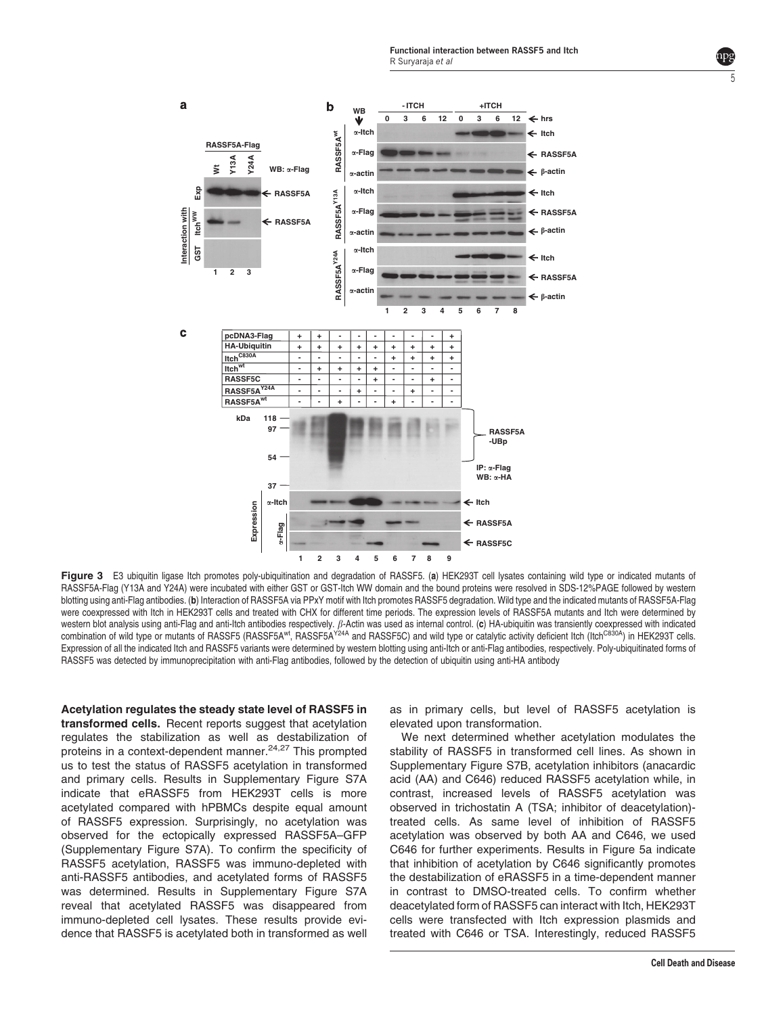Functional interaction between RASSF5 and Itch R Suryaraja et al

<span id="page-4-0"></span>

Figure 3 E3 ubiquitin ligase Itch promotes poly-ubiquitination and degradation of RASSF5. (a) HEK293T cell lysates containing wild type or indicated mutants of RASSF5A-Flag (Y13A and Y24A) were incubated with either GST or GST-Itch WW domain and the bound proteins were resolved in SDS-12%PAGE followed by western blotting using anti-Flag antibodies. (b) Interaction of RASSF5A via PPxY motif with Itch promotes RASSF5 degradation. Wild type and the indicated mutants of RASSF5A-Flag were coexpressed with Itch in HEK293T cells and treated with CHX for different time periods. The expression levels of RASSF5A mutants and Itch were determined by western blot analysis using anti-Flag and anti-Itch antibodies respectively.  $\beta$ -Actin was used as internal control. (c) HA-ubiquitin was transiently coexpressed with indicated combination of wild type or mutants of RASSF5 (RASSF5A<sup>wt</sup>, RASSF5A<sup>Y24A</sup> and RASSF5C) and wild type or catalytic activity deficient Itch (Itch<sup>C830A</sup>) in HEK293T cells. Expression of all the indicated Itch and RASSF5 variants were determined by western blotting using anti-Itch or anti-Flag antibodies, respectively. Poly-ubiquitinated forms of RASSF5 was detected by immunoprecipitation with anti-Flag antibodies, followed by the detection of ubiquitin using anti-HA antibody

Acetylation regulates the steady state level of RASSF5 in transformed cells. Recent reports suggest that acetylation regulates the stabilization as well as destabilization of proteins in a context-dependent manner.[24,27](#page-8-0) This prompted us to test the status of RASSF5 acetylation in transformed and primary cells. Results in Supplementary Figure S7A indicate that eRASSF5 from HEK293T cells is more acetylated compared with hPBMCs despite equal amount of RASSF5 expression. Surprisingly, no acetylation was observed for the ectopically expressed RASSF5A–GFP (Supplementary Figure S7A). To confirm the specificity of RASSF5 acetylation, RASSF5 was immuno-depleted with anti-RASSF5 antibodies, and acetylated forms of RASSF5 was determined. Results in Supplementary Figure S7A reveal that acetylated RASSF5 was disappeared from immuno-depleted cell lysates. These results provide evidence that RASSF5 is acetylated both in transformed as well

as in primary cells, but level of RASSF5 acetylation is elevated upon transformation.

We next determined whether acetylation modulates the stability of RASSF5 in transformed cell lines. As shown in Supplementary Figure S7B, acetylation inhibitors (anacardic acid (AA) and C646) reduced RASSF5 acetylation while, in contrast, increased levels of RASSF5 acetylation was observed in trichostatin A (TSA; inhibitor of deacetylation) treated cells. As same level of inhibition of RASSF5 acetylation was observed by both AA and C646, we used C646 for further experiments. Results in [Figure 5a](#page-6-0) indicate that inhibition of acetylation by C646 significantly promotes the destabilization of eRASSF5 in a time-dependent manner in contrast to DMSO-treated cells. To confirm whether deacetylated form of RASSF5 can interact with Itch, HEK293T cells were transfected with Itch expression plasmids and treated with C646 or TSA. Interestingly, reduced RASSF5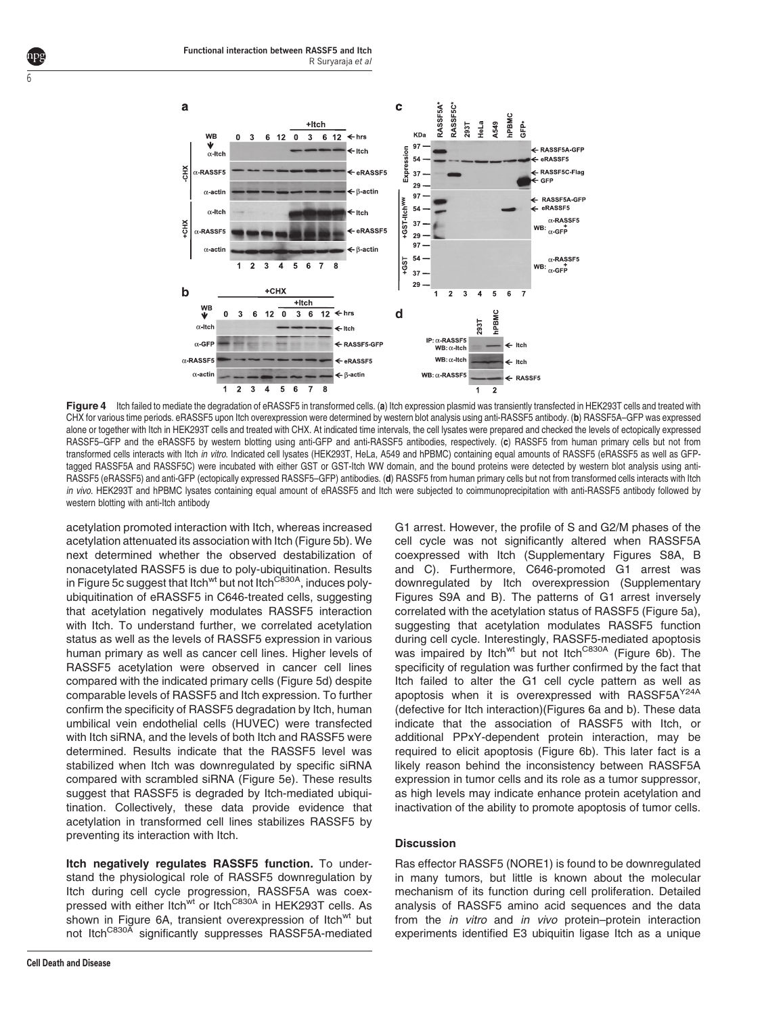

Figure 4 Itch failed to mediate the degradation of eRASSF5 in transformed cells. (a) Itch expression plasmid was transiently transfected in HEK293T cells and treated with CHX for various time periods. eRASSF5 upon Itch overexpression were determined by western blot analysis using anti-RASSF5 antibody. (b) RASSF5A–GFP was expressed alone or together with Itch in HEK293T cells and treated with CHX. At indicated time intervals, the cell lysates were prepared and checked the levels of ectopically expressed RASSF5–GFP and the eRASSF5 by western blotting using anti-GFP and anti-RASSF5 antibodies, respectively. (c) RASSF5 from human primary cells but not from transformed cells interacts with Itch in vitro. Indicated cell lysates (HEK293T, HeLa, A549 and hPBMC) containing equal amounts of RASSF5 (eRASSF5 as well as GFPtagged RASSF5A and RASSF5C) were incubated with either GST or GST-Itch WW domain, and the bound proteins were detected by western blot analysis using anti-RASSF5 (eRASSF5) and anti-GFP (ectopically expressed RASSF5–GFP) antibodies. (d) RASSF5 from human primary cells but not from transformed cells interacts with Itch in vivo. HEK293T and hPBMC lysates containing equal amount of eRASSF5 and Itch were subjected to coimmunoprecipitation with anti-RASSF5 antibody followed by western blotting with anti-Itch antibody

acetylation promoted interaction with Itch, whereas increased acetylation attenuated its association with Itch [\(Figure 5b](#page-6-0)). We next determined whether the observed destabilization of nonacetylated RASSF5 is due to poly-ubiquitination. Results in [Figure 5c](#page-6-0) suggest that Itch<sup>wt</sup> but not Itch<sup>C830A</sup>, induces polyubiquitination of eRASSF5 in C646-treated cells, suggesting that acetylation negatively modulates RASSF5 interaction with Itch. To understand further, we correlated acetylation status as well as the levels of RASSF5 expression in various human primary as well as cancer cell lines. Higher levels of RASSF5 acetylation were observed in cancer cell lines compared with the indicated primary cells [\(Figure 5d\)](#page-6-0) despite comparable levels of RASSF5 and Itch expression. To further confirm the specificity of RASSF5 degradation by Itch, human umbilical vein endothelial cells (HUVEC) were transfected with Itch siRNA, and the levels of both Itch and RASSF5 were determined. Results indicate that the RASSF5 level was stabilized when Itch was downregulated by specific siRNA compared with scrambled siRNA ([Figure 5e\)](#page-6-0). These results suggest that RASSF5 is degraded by Itch-mediated ubiquitination. Collectively, these data provide evidence that acetylation in transformed cell lines stabilizes RASSF5 by preventing its interaction with Itch.

Itch negatively regulates RASSF5 function. To understand the physiological role of RASSF5 downregulation by Itch during cell cycle progression, RASSF5A was coexpressed with either Itch<sup>wt</sup> or Itch<sup>C830A</sup> in HEK293T cells. As shown in [Figure 6A,](#page-6-0) transient overexpression of Itch<sup>wt</sup> but not Itch<sup>C830A</sup> significantly suppresses RASSF5A-mediated

**Cell Death and Disease**

<span id="page-5-0"></span>6

G1 arrest. However, the profile of S and G2/M phases of the cell cycle was not significantly altered when RASSF5A coexpressed with Itch (Supplementary Figures S8A, B and C). Furthermore, C646-promoted G1 arrest was downregulated by Itch overexpression (Supplementary Figures S9A and B). The patterns of G1 arrest inversely correlated with the acetylation status of RASSF5 ([Figure 5a](#page-6-0)), suggesting that acetylation modulates RASSF5 function during cell cycle. Interestingly, RASSF5-mediated apoptosis was impaired by Itch<sup>wt</sup> but not Itch<sup>C830A</sup> [\(Figure 6b\)](#page-6-0). The specificity of regulation was further confirmed by the fact that Itch failed to alter the G1 cell cycle pattern as well as apoptosis when it is overexpressed with RASSF5A<sup>Y24A</sup> (defective for Itch interaction)([Figures 6a and b\)](#page-6-0). These data indicate that the association of RASSF5 with Itch, or additional PPxY-dependent protein interaction, may be required to elicit apoptosis ([Figure 6b\)](#page-6-0). This later fact is a likely reason behind the inconsistency between RASSF5A expression in tumor cells and its role as a tumor suppressor, as high levels may indicate enhance protein acetylation and inactivation of the ability to promote apoptosis of tumor cells.

# **Discussion**

Ras effector RASSF5 (NORE1) is found to be downregulated in many tumors, but little is known about the molecular mechanism of its function during cell proliferation. Detailed analysis of RASSF5 amino acid sequences and the data from the in vitro and in vivo protein–protein interaction experiments identified E3 ubiquitin ligase Itch as a unique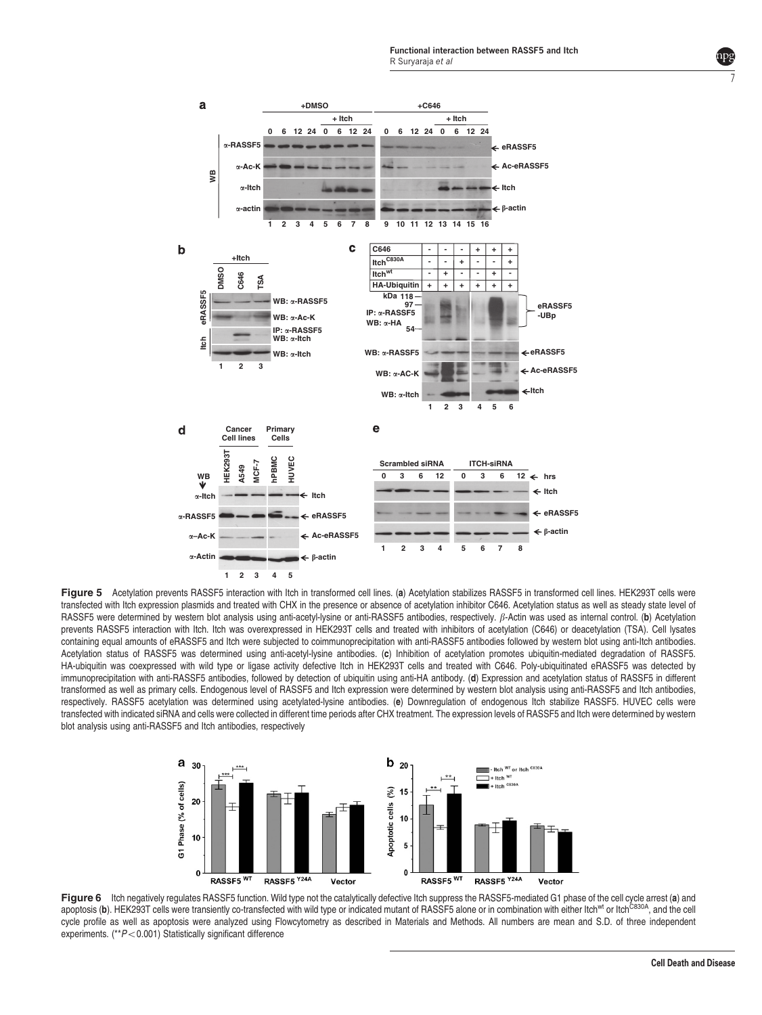<span id="page-6-0"></span>

Figure 5 Acetylation prevents RASSF5 interaction with Itch in transformed cell lines. (a) Acetylation stabilizes RASSF5 in transformed cell lines. HEK293T cells were transfected with Itch expression plasmids and treated with CHX in the presence or absence of acetylation inhibitor C646. Acetylation status as well as steady state level of RASSF5 were determined by western blot analysis using anti-acetyl-lysine or anti-RASSF5 antibodies, respectively.  $\beta$ -Actin was used as internal control. (b) Acetylation prevents RASSF5 interaction with Itch. Itch was overexpressed in HEK293T cells and treated with inhibitors of acetylation (C646) or deacetylation (TSA). Cell lysates containing equal amounts of eRASSF5 and Itch were subjected to coimmunoprecipitation with anti-RASSF5 antibodies followed by western blot using anti-Itch antibodies. Acetylation status of RASSF5 was determined using anti-acetyl-lysine antibodies. (c) Inhibition of acetylation promotes ubiquitin-mediated degradation of RASSF5. HA-ubiquitin was coexpressed with wild type or ligase activity defective Itch in HEK293T cells and treated with C646. Poly-ubiquitinated eRASSF5 was detected by immunoprecipitation with anti-RASSF5 antibodies, followed by detection of ubiquitin using anti-HA antibody. (d) Expression and acetylation status of RASSF5 in different transformed as well as primary cells. Endogenous level of RASSF5 and Itch expression were determined by western blot analysis using anti-RASSF5 and Itch antibodies, respectively. RASSF5 acetylation was determined using acetylated-lysine antibodies. (e) Downregulation of endogenous Itch stabilize RASSF5. HUVEC cells were transfected with indicated siRNA and cells were collected in different time periods after CHX treatment. The expression levels of RASSF5 and Itch were determined by western blot analysis using anti-RASSF5 and Itch antibodies, respectively



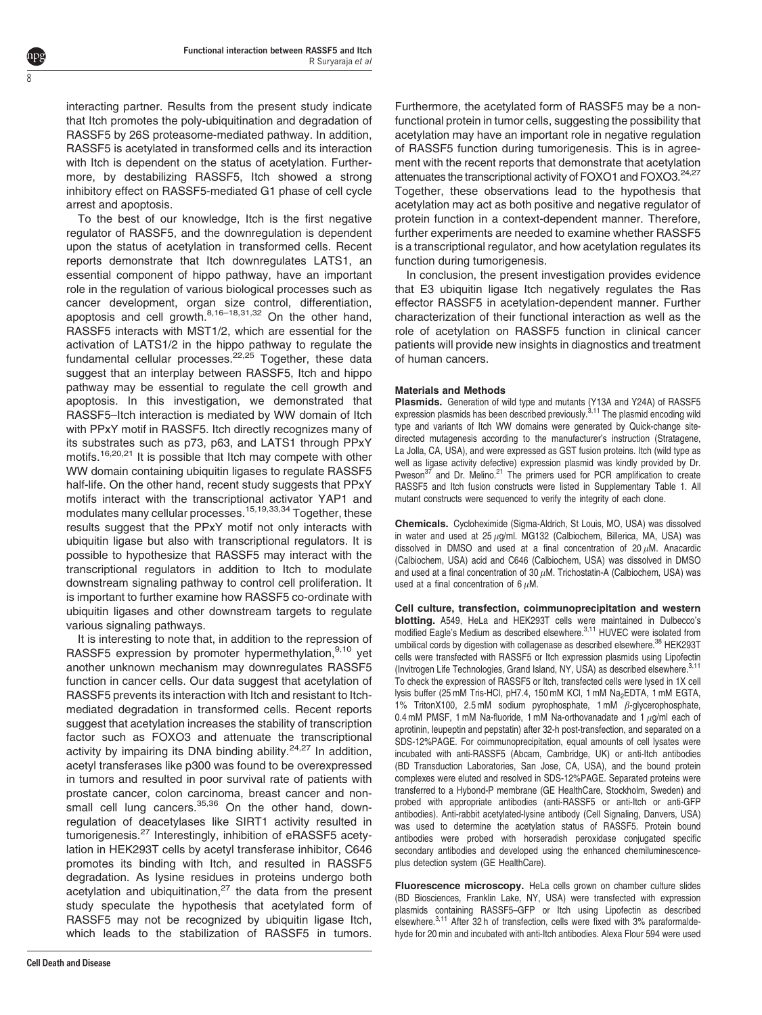interacting partner. Results from the present study indicate that Itch promotes the poly-ubiquitination and degradation of RASSF5 by 26S proteasome-mediated pathway. In addition, RASSF5 is acetylated in transformed cells and its interaction with Itch is dependent on the status of acetylation. Furthermore, by destabilizing RASSF5, Itch showed a strong inhibitory effect on RASSF5-mediated G1 phase of cell cycle arrest and apoptosis.

ŏ

To the best of our knowledge, Itch is the first negative regulator of RASSF5, and the downregulation is dependent upon the status of acetylation in transformed cells. Recent reports demonstrate that Itch downregulates LATS1, an essential component of hippo pathway, have an important role in the regulation of various biological processes such as cancer development, organ size control, differentiation, apoptosis and cell growth. $8,16-18,31,32$  On the other hand, RASSF5 interacts with MST1/2, which are essential for the activation of LATS1/2 in the hippo pathway to regulate the fundamental cellular processes.<sup>22,25</sup> Together, these data suggest that an interplay between RASSF5, Itch and hippo pathway may be essential to regulate the cell growth and apoptosis. In this investigation, we demonstrated that RASSF5–Itch interaction is mediated by WW domain of Itch with PPxY motif in RASSF5. Itch directly recognizes many of its substrates such as p73, p63, and LATS1 through PPxY motifs.<sup>[16,20,21](#page-8-0)</sup> It is possible that Itch may compete with other WW domain containing ubiquitin ligases to regulate RASSF5 half-life. On the other hand, recent study suggests that PPxY motifs interact with the transcriptional activator YAP1 and modulates many cellular processes.[15,19,33,34](#page-8-0) Together, these results suggest that the PPxY motif not only interacts with ubiquitin ligase but also with transcriptional regulators. It is possible to hypothesize that RASSF5 may interact with the transcriptional regulators in addition to Itch to modulate downstream signaling pathway to control cell proliferation. It is important to further examine how RASSF5 co-ordinate with ubiquitin ligases and other downstream targets to regulate various signaling pathways.

It is interesting to note that, in addition to the repression of RASSF5 expression by promoter hypermethylation,  $9,10$  yet another unknown mechanism may downregulates RASSF5 function in cancer cells. Our data suggest that acetylation of RASSF5 prevents its interaction with Itch and resistant to Itchmediated degradation in transformed cells. Recent reports suggest that acetylation increases the stability of transcription factor such as FOXO3 and attenuate the transcriptional activity by impairing its DNA binding ability. $24,27$  In addition, acetyl transferases like p300 was found to be overexpressed in tumors and resulted in poor survival rate of patients with prostate cancer, colon carcinoma, breast cancer and nonsmall cell lung cancers. $35,36$  On the other hand, downregulation of deacetylases like SIRT1 activity resulted in tumorigenesis.[27](#page-8-0) Interestingly, inhibition of eRASSF5 acetylation in HEK293T cells by acetyl transferase inhibitor, C646 promotes its binding with Itch, and resulted in RASSF5 degradation. As lysine residues in proteins undergo both acetylation and ubiquitination, $27$  the data from the present study speculate the hypothesis that acetylated form of RASSF5 may not be recognized by ubiquitin ligase Itch, which leads to the stabilization of RASSF5 in tumors.

Furthermore, the acetylated form of RASSF5 may be a nonfunctional protein in tumor cells, suggesting the possibility that acetylation may have an important role in negative regulation of RASSF5 function during tumorigenesis. This is in agreement with the recent reports that demonstrate that acetylation attenuates the transcriptional activity of FOXO1 and FOXO3.<sup>24,27</sup> Together, these observations lead to the hypothesis that acetylation may act as both positive and negative regulator of protein function in a context-dependent manner. Therefore, further experiments are needed to examine whether RASSF5 is a transcriptional regulator, and how acetylation regulates its function during tumorigenesis.

In conclusion, the present investigation provides evidence that E3 ubiquitin ligase Itch negatively regulates the Ras effector RASSF5 in acetylation-dependent manner. Further characterization of their functional interaction as well as the role of acetylation on RASSF5 function in clinical cancer patients will provide new insights in diagnostics and treatment of human cancers.

## Materials and Methods

Plasmids. Generation of wild type and mutants (Y13A and Y24A) of RASSF5 expression plasmids has been described previously.<sup>[3,11](#page-8-0)</sup> The plasmid encoding wild type and variants of Itch WW domains were generated by Quick-change sitedirected mutagenesis according to the manufacturer's instruction (Stratagene, La Jolla, CA, USA), and were expressed as GST fusion proteins. Itch (wild type as well as ligase activity defective) expression plasmid was kindly provided by Dr. Pweson $3^7$  and Dr. Melino.<sup>21</sup> The primers used for PCR amplification to create RASSF5 and Itch fusion constructs were listed in Supplementary Table 1. All mutant constructs were sequenced to verify the integrity of each clone.

Chemicals. Cycloheximide (Sigma-Aldrich, St Louis, MO, USA) was dissolved in water and used at  $25 \mu g/ml$ . MG132 (Calbiochem, Billerica, MA, USA) was dissolved in DMSO and used at a final concentration of 20  $\mu$ M. Anacardic (Calbiochem, USA) acid and C646 (Calbiochem, USA) was dissolved in DMSO and used at a final concentration of 30  $\mu$ M. Trichostatin-A (Calbiochem, USA) was used at a final concentration of 6  $\mu$ M.

Cell culture, transfection, coimmunoprecipitation and western blotting. A549, HeLa and HEK293T cells were maintained in Dulbecco's modified Eagle's Medium as described elsewhere.<sup>3,11</sup> HUVEC were isolated from umbilical cords by digestion with collagenase as described elsewhere.<sup>38</sup> HEK293T cells were transfected with RASSF5 or Itch expression plasmids using Lipofectin (Invitrogen Life Technologies, Grand Island, NY, USA) as described elsewhere.<sup>3,11</sup> To check the expression of RASSF5 or Itch, transfected cells were lysed in 1X cell lysis buffer (25 mM Tris-HCl, pH7.4, 150 mM KCl, 1 mM Na<sub>2</sub>EDTA, 1 mM EGTA, 1% TritonX100, 2.5 mM sodium pyrophosphate, 1 mM  $\beta$ -glycerophosphate, 0.4 mM PMSF, 1 mM Na-fluoride, 1 mM Na-orthovanadate and 1  $\mu$ g/ml each of aprotinin, leupeptin and pepstatin) after 32-h post-transfection, and separated on a SDS-12%PAGE. For coimmunoprecipitation, equal amounts of cell lysates were incubated with anti-RASSF5 (Abcam, Cambridge, UK) or anti-Itch antibodies (BD Transduction Laboratories, San Jose, CA, USA), and the bound protein complexes were eluted and resolved in SDS-12%PAGE. Separated proteins were transferred to a Hybond-P membrane (GE HealthCare, Stockholm, Sweden) and probed with appropriate antibodies (anti-RASSF5 or anti-Itch or anti-GFP antibodies). Anti-rabbit acetylated-lysine antibody (Cell Signaling, Danvers, USA) was used to determine the acetylation status of RASSF5. Protein bound antibodies were probed with horseradish peroxidase conjugated specific secondary antibodies and developed using the enhanced chemiluminescenceplus detection system (GE HealthCare).

Fluorescence microscopy. HeLa cells grown on chamber culture slides (BD Biosciences, Franklin Lake, NY, USA) were transfected with expression plasmids containing RASSF5–GFP or Itch using Lipofectin as described elsewhere.<sup>3,11</sup> After 32 h of transfection, cells were fixed with 3% paraformaldehyde for 20 min and incubated with anti-Itch antibodies. Alexa Flour 594 were used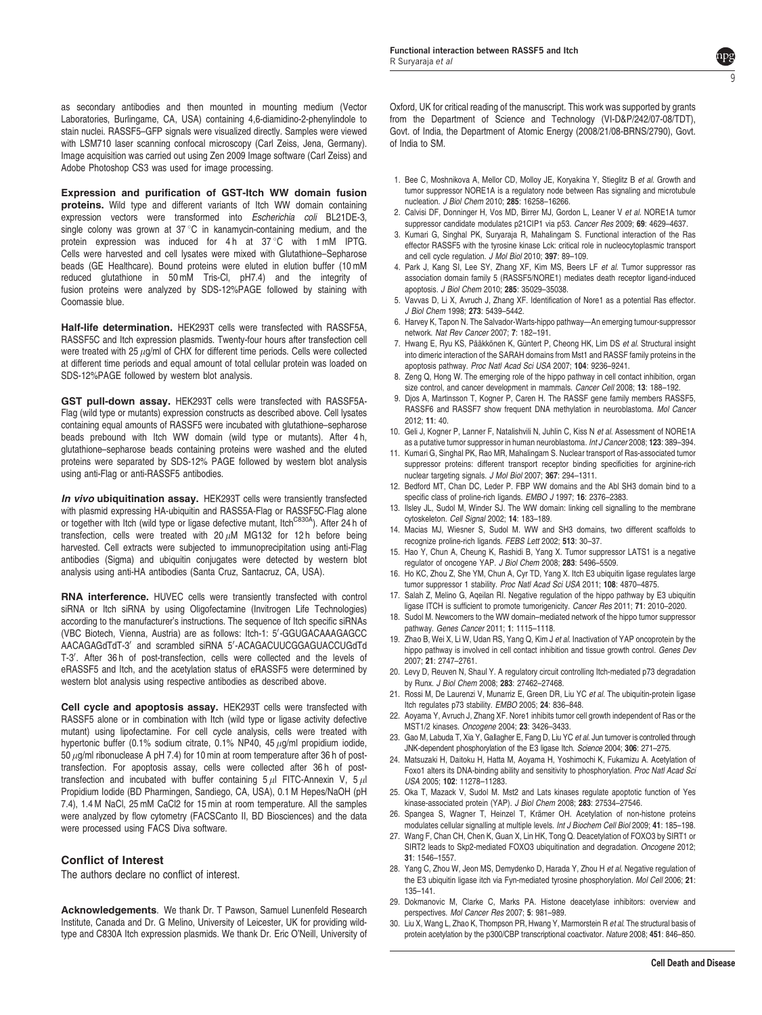<span id="page-8-0"></span>as secondary antibodies and then mounted in mounting medium (Vector Laboratories, Burlingame, CA, USA) containing 4,6-diamidino-2-phenylindole to stain nuclei. RASSF5–GFP signals were visualized directly. Samples were viewed with LSM710 laser scanning confocal microscopy (Carl Zeiss, Jena, Germany). Image acquisition was carried out using Zen 2009 Image software (Carl Zeiss) and Adobe Photoshop CS3 was used for image processing.

Expression and purification of GST-Itch WW domain fusion proteins. Wild type and different variants of Itch WW domain containing expression vectors were transformed into Escherichia coli BL21DE-3, single colony was grown at  $37^{\circ}$ C in kanamycin-containing medium, and the protein expression was induced for  $4 h$  at  $37^{\circ}$ C with 1 mM IPTG. Cells were harvested and cell lysates were mixed with Glutathione–Sepharose beads (GE Healthcare). Bound proteins were eluted in elution buffer (10 mM reduced glutathione in 50 mM Tris-Cl, pH7.4) and the integrity of fusion proteins were analyzed by SDS-12%PAGE followed by staining with Coomassie blue.

Half-life determination. HEK293T cells were transfected with RASSF5A, RASSF5C and Itch expression plasmids. Twenty-four hours after transfection cell were treated with 25  $\mu$ g/ml of CHX for different time periods. Cells were collected at different time periods and equal amount of total cellular protein was loaded on SDS-12%PAGE followed by western blot analysis.

GST pull-down assay. HEK293T cells were transfected with RASSF5A-Flag (wild type or mutants) expression constructs as described above. Cell lysates containing equal amounts of RASSF5 were incubated with glutathione–sepharose beads prebound with Itch WW domain (wild type or mutants). After 4 h, glutathione–sepharose beads containing proteins were washed and the eluted proteins were separated by SDS-12% PAGE followed by western blot analysis using anti-Flag or anti-RASSF5 antibodies.

In vivo ubiquitination assay. HEK293T cells were transiently transfected with plasmid expressing HA-ubiquitin and RASS5A-Flag or RASSF5C-Flag alone or together with Itch (wild type or ligase defective mutant, Itch<sup>C830A</sup>). After 24 h of transfection, cells were treated with 20  $\mu$ M MG132 for 12 h before being harvested. Cell extracts were subjected to immunoprecipitation using anti-Flag antibodies (Sigma) and ubiquitin conjugates were detected by western blot analysis using anti-HA antibodies (Santa Cruz, Santacruz, CA, USA).

RNA interference. HUVEC cells were transiently transfected with control siRNA or Itch siRNA by using Oligofectamine (Invitrogen Life Technologies) according to the manufacturer's instructions. The sequence of Itch specific siRNAs (VBC Biotech, Vienna, Austria) are as follows: ltch-1: 5'-GGUGACAAAGAGCC AACAGAGdTdT-3' and scrambled siRNA 5'-ACAGACUUCGGAGUACCUGdTd T-3'. After 36 h of post-transfection, cells were collected and the levels of eRASSF5 and Itch, and the acetylation status of eRASSF5 were determined by western blot analysis using respective antibodies as described above.

Cell cycle and apoptosis assay. HEK293T cells were transfected with RASSF5 alone or in combination with Itch (wild type or ligase activity defective mutant) using lipofectamine. For cell cycle analysis, cells were treated with hypertonic buffer (0.1% sodium citrate, 0.1% NP40, 45  $\mu$ g/ml propidium iodide, 50  $\mu$ g/ml ribonuclease A pH 7.4) for 10 min at room temperature after 36 h of posttransfection. For apoptosis assay, cells were collected after 36h of posttransfection and incubated with buffer containing  $5 \mu$ I FITC-Annexin V,  $5 \mu$ I Propidium Iodide (BD Pharmingen, Sandiego, CA, USA), 0.1 M Hepes/NaOH (pH 7.4), 1.4 M NaCl, 25 mM CaCl2 for 15 min at room temperature. All the samples were analyzed by flow cytometry (FACSCanto II, BD Biosciences) and the data were processed using FACS Diva software.

#### Conflict of Interest

The authors declare no conflict of interest.

Acknowledgements. We thank Dr. T Pawson, Samuel Lunenfeld Research Institute, Canada and Dr. G Melino, University of Leicester, UK for providing wildtype and C830A Itch expression plasmids. We thank Dr. Eric O'Neill, University of Oxford, UK for critical reading of the manuscript. This work was supported by grants from the Department of Science and Technology (VI-D&P/242/07-08/TDT), Govt. of India, the Department of Atomic Energy (2008/21/08-BRNS/2790), Govt. of India to SM.

- 1. Bee C, Moshnikova A, Mellor CD, Molloy JE, Koryakina Y, Stieglitz B et al. Growth and tumor suppressor NORE1A is a regulatory node between Ras signaling and microtubule nucleation. J Biol Chem 2010; 285: 16258–16266.
- 2. Calvisi DF, Donninger H, Vos MD, Birrer MJ, Gordon L, Leaner V et al. NORE1A tumor suppressor candidate modulates p21CIP1 via p53. Cancer Res 2009; 69: 4629–4637.
- 3. Kumari G, Singhal PK, Suryaraja R, Mahalingam S. Functional interaction of the Ras effector RASSF5 with the tyrosine kinase Lck: critical role in nucleocytoplasmic transport and cell cycle regulation. J Mol Biol 2010; 397: 89–109.
- 4. Park J, Kang SI, Lee SY, Zhang XF, Kim MS, Beers LF et al. Tumor suppressor ras association domain family 5 (RASSF5/NORE1) mediates death receptor ligand-induced apoptosis. J Biol Chem 2010; 285: 35029–35038.
- 5. Vavvas D, Li X, Avruch J, Zhang XF. Identification of Nore1 as a potential Ras effector. J Biol Chem 1998; 273: 5439–5442.
- 6. Harvey K, Tapon N. The Salvador-Warts-hippo pathway—An emerging tumour-suppressor network. Nat Rev Cancer 2007; 7: 182–191.
- 7. Hwang E, Ryu KS, Pääkkönen K, Güntert P, Cheong HK, Lim DS et al. Structural insight into dimeric interaction of the SARAH domains from Mst1 and RASSF family proteins in the apoptosis pathway. Proc Natl Acad Sci USA 2007; 104: 9236–9241.
- 8. Zeng Q, Hong W. The emerging role of the hippo pathway in cell contact inhibition, organ size control, and cancer development in mammals. Cancer Cell 2008; 13: 188–192.
- 9. Djos A, Martinsson T, Kogner P, Caren H. The RASSF gene family members RASSF5, RASSF6 and RASSF7 show frequent DNA methylation in neuroblastoma. Mol Cancer 2012; 11: 40.
- 10. Geli J, Kogner P, Lanner F, Natalishvili N, Juhlin C, Kiss N et al. Assessment of NORE1A as a putative tumor suppressor in human neuroblastoma. Int J Cancer 2008; 123: 389–394.
- 11. Kumari G, Singhal PK, Rao MR, Mahalingam S. Nuclear transport of Ras-associated tumor suppressor proteins: different transport receptor binding specificities for arginine-rich nuclear targeting signals. J Mol Biol 2007; 367: 294–1311.
- 12. Bedford MT, Chan DC, Leder P. FBP WW domains and the Abl SH3 domain bind to a specific class of proline-rich ligands. EMBO J 1997; 16: 2376-2383.
- 13. Ilsley JL, Sudol M, Winder SJ. The WW domain: linking cell signalling to the membrane cytoskeleton. Cell Signal 2002; 14: 183–189.
- 14. Macias MJ, Wiesner S, Sudol M. WW and SH3 domains, two different scaffolds to recognize proline-rich ligands. FEBS Lett 2002; 513: 30–37.
- 15. Hao Y, Chun A, Cheung K, Rashidi B, Yang X. Tumor suppressor LATS1 is a negative regulator of oncogene YAP. J Biol Chem 2008; 283: 5496–5509.
- 16. Ho KC, Zhou Z, She YM, Chun A, Cyr TD, Yang X. Itch E3 ubiquitin ligase regulates large tumor suppressor 1 stability. Proc Natl Acad Sci USA 2011; 108: 4870-4875.
- 17. Salah Z, Melino G, Aqeilan RI. Negative regulation of the hippo pathway by E3 ubiquitin ligase ITCH is sufficient to promote tumorigenicity. Cancer Res 2011; 71: 2010–2020.
- 18. Sudol M. Newcomers to the WW domain–mediated network of the hippo tumor suppressor pathway. Genes Cancer 2011; 1: 1115–1118.
- 19. Zhao B, Wei X, Li W, Udan RS, Yang Q, Kim J et al. Inactivation of YAP oncoprotein by the hippo pathway is involved in cell contact inhibition and tissue growth control. Genes Dev 2007; 21: 2747–2761.
- 20. Levy D, Reuven N, Shaul Y. A regulatory circuit controlling Itch-mediated p73 degradation by Runx. J Biol Chem 2008; 283: 27462–27468.
- 21. Rossi M, De Laurenzi V, Munarriz E, Green DR, Liu YC et al. The ubiquitin-protein ligase Itch regulates p73 stability. EMBO 2005; 24: 836–848.
- 22. Aoyama Y, Avruch J, Zhang XF. Nore1 inhibits tumor cell growth independent of Ras or the MST1/2 kinases. Oncogene 2004; 23: 3426–3433.
- 23. Gao M, Labuda T, Xia Y, Gallagher E, Fang D, Liu YC et al. Jun turnover is controlled through JNK-dependent phosphorylation of the E3 ligase Itch. Science 2004; 306: 271–275.
- 24. Matsuzaki H, Daitoku H, Hatta M, Aoyama H, Yoshimochi K, Fukamizu A. Acetylation of Foxo1 alters its DNA-binding ability and sensitivity to phosphorylation. Proc Natl Acad Sci USA 2005; 102: 11278–11283.
- 25. Oka T, Mazack V, Sudol M. Mst2 and Lats kinases regulate apoptotic function of Yes kinase-associated protein (YAP). J Biol Chem 2008; 283: 27534-27546.
- 26. Spangea S, Wagner T, Heinzel T, Krämer OH. Acetylation of non-histone proteins modulates cellular signalling at multiple levels. Int J Biochem Cell Biol 2009; 41: 185–198.
- 27. Wang F, Chan CH, Chen K, Guan X, Lin HK, Tong Q. Deacetylation of FOXO3 by SIRT1 or SIRT2 leads to Skp2-mediated FOXO3 ubiquitination and degradation. Oncogene 2012; 31: 1546–1557.
- 28. Yang C, Zhou W, Jeon MS, Demydenko D, Harada Y, Zhou H et al. Negative regulation of the E3 ubiquitin ligase itch via Fyn-mediated tyrosine phosphorylation. Mol Cell 2006; 21: 135–141.
- 29. Dokmanovic M, Clarke C, Marks PA. Histone deacetylase inhibitors: overview and perspectives. Mol Cancer Res 2007; 5: 981–989.
- 30. Liu X, Wang L, Zhao K, Thompson PR, Hwang Y, Marmorstein R et al. The structural basis of protein acetylation by the p300/CBP transcriptional coactivator. Nature 2008; 451: 846–850.